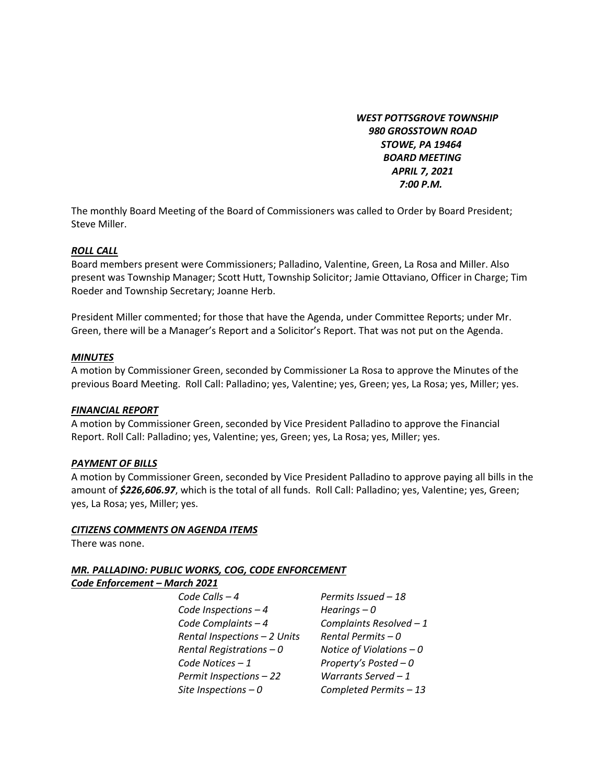*WEST POTTSGROVE TOWNSHIP 980 GROSSTOWN ROAD STOWE, PA 19464 BOARD MEETING APRIL 7, 2021 7:00 P.M.* 

The monthly Board Meeting of the Board of Commissioners was called to Order by Board President; Steve Miller.

#### *ROLL CALL*

Board members present were Commissioners; Palladino, Valentine, Green, La Rosa and Miller. Also present was Township Manager; Scott Hutt, Township Solicitor; Jamie Ottaviano, Officer in Charge; Tim Roeder and Township Secretary; Joanne Herb.

President Miller commented; for those that have the Agenda, under Committee Reports; under Mr. Green, there will be a Manager's Report and a Solicitor's Report. That was not put on the Agenda.

#### *MINUTES*

A motion by Commissioner Green, seconded by Commissioner La Rosa to approve the Minutes of the previous Board Meeting. Roll Call: Palladino; yes, Valentine; yes, Green; yes, La Rosa; yes, Miller; yes.

#### *FINANCIAL REPORT*

A motion by Commissioner Green, seconded by Vice President Palladino to approve the Financial Report. Roll Call: Palladino; yes, Valentine; yes, Green; yes, La Rosa; yes, Miller; yes.

#### *PAYMENT OF BILLS*

A motion by Commissioner Green, seconded by Vice President Palladino to approve paying all bills in the amount of *\$226,606.97*, which is the total of all funds. Roll Call: Palladino; yes, Valentine; yes, Green; yes, La Rosa; yes, Miller; yes.

#### *CITIZENS COMMENTS ON AGENDA ITEMS*

There was none.

## *MR. PALLADINO: PUBLIC WORKS, COG, CODE ENFORCEMENT*

#### *Code Enforcement – March 2021*

*Code Calls – 4 Permits Issued – 18 Code Inspections – 4 Hearings – 0 Code Complaints – 4 Complaints Resolved – 1 Rental Inspections – 2 Units Rental Permits – 0 Rental Registrations – 0 Notice of Violations – 0 Code Notices – 1 Property's Posted – 0 Permit Inspections – 22 Warrants Served – 1 Site Inspections – 0 Completed Permits – 13*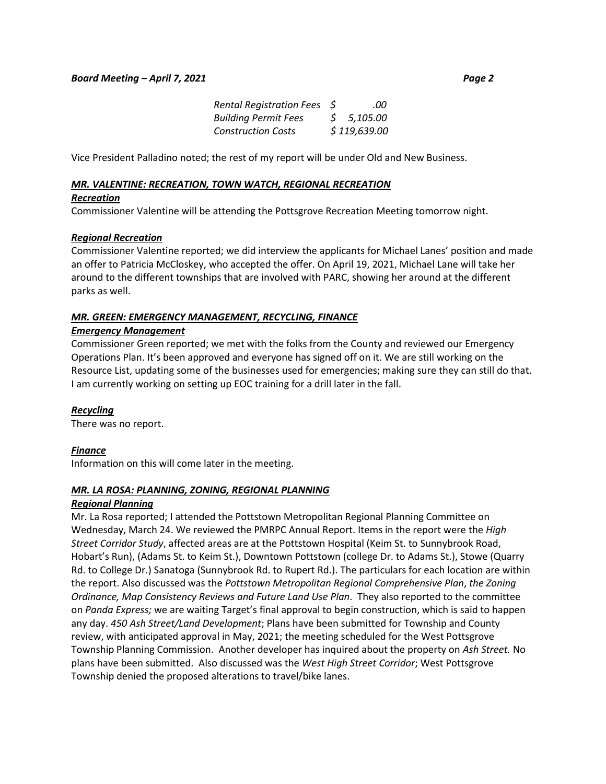| Fees \$ | .00                                 |  |
|---------|-------------------------------------|--|
|         | $\sigma$ $\sigma$ $\sigma$ $\sigma$ |  |

| <b>Building Permit Fees</b> | \$5,105.00   |
|-----------------------------|--------------|
| <b>Construction Costs</b>   | \$119,639.00 |

Vice President Palladino noted; the rest of my report will be under Old and New Business.

*Rental Registration* 

#### *MR. VALENTINE: RECREATION, TOWN WATCH, REGIONAL RECREATION*

#### *Recreation*

Commissioner Valentine will be attending the Pottsgrove Recreation Meeting tomorrow night.

#### *Regional Recreation*

Commissioner Valentine reported; we did interview the applicants for Michael Lanes' position and made an offer to Patricia McCloskey, who accepted the offer. On April 19, 2021, Michael Lane will take her around to the different townships that are involved with PARC, showing her around at the different parks as well.

## *MR. GREEN: EMERGENCY MANAGEMENT, RECYCLING, FINANCE*

## *Emergency Management*

Commissioner Green reported; we met with the folks from the County and reviewed our Emergency Operations Plan. It's been approved and everyone has signed off on it. We are still working on the Resource List, updating some of the businesses used for emergencies; making sure they can still do that. I am currently working on setting up EOC training for a drill later in the fall.

## *Recycling*

There was no report.

## *Finance*

Information on this will come later in the meeting.

## *MR. LA ROSA: PLANNING, ZONING, REGIONAL PLANNING*

## *Regional Planning*

Mr. La Rosa reported; I attended the Pottstown Metropolitan Regional Planning Committee on Wednesday, March 24. We reviewed the PMRPC Annual Report. Items in the report were the *High Street Corridor Study*, affected areas are at the Pottstown Hospital (Keim St. to Sunnybrook Road, Hobart's Run), (Adams St. to Keim St.), Downtown Pottstown (college Dr. to Adams St.), Stowe (Quarry Rd. to College Dr.) Sanatoga (Sunnybrook Rd. to Rupert Rd.). The particulars for each location are within the report. Also discussed was the *Pottstown Metropolitan Regional Comprehensive Plan*, *the Zoning Ordinance, Map Consistency Reviews and Future Land Use Plan*. They also reported to the committee on *Panda Express;* we are waiting Target's final approval to begin construction, which is said to happen any day. *450 Ash Street/Land Development*; Plans have been submitted for Township and County review, with anticipated approval in May, 2021; the meeting scheduled for the West Pottsgrove Township Planning Commission. Another developer has inquired about the property on *Ash Street.* No plans have been submitted. Also discussed was the *West High Street Corridor*; West Pottsgrove Township denied the proposed alterations to travel/bike lanes.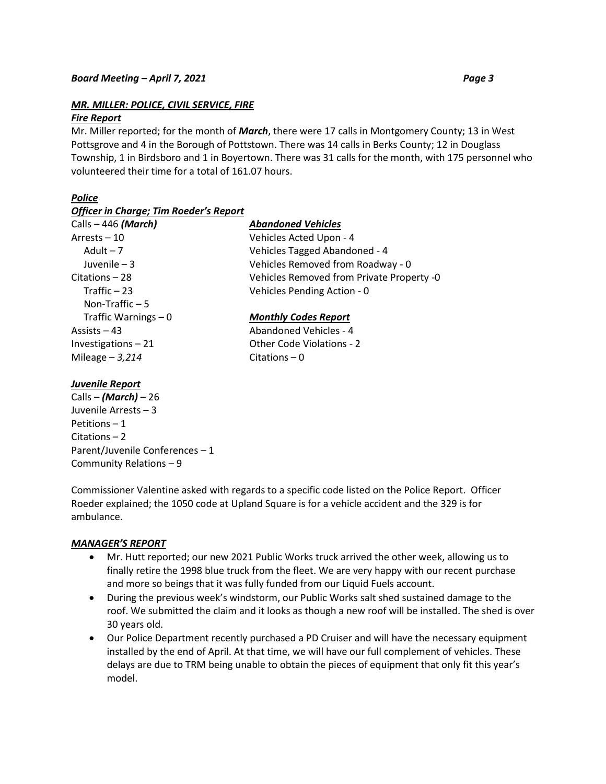# *MR. MILLER: POLICE, CIVIL SERVICE, FIRE*

#### *Fire Report*

Mr. Miller reported; for the month of *March*, there were 17 calls in Montgomery County; 13 in West Pottsgrove and 4 in the Borough of Pottstown. There was 14 calls in Berks County; 12 in Douglass Township, 1 in Birdsboro and 1 in Boyertown. There was 31 calls for the month, with 175 personnel who volunteered their time for a total of 161.07 hours.

# *Police*

#### *Officer in Charge; Tim Roeder's Report*

| Calls – 446 (March)   | <b>Abandoned Vehicles</b>                 |
|-----------------------|-------------------------------------------|
| Arrests - 10          | Vehicles Acted Upon - 4                   |
| Adult $-7$            | Vehicles Tagged Abandoned - 4             |
| Juvenile $-3$         | Vehicles Removed from Roadway - 0         |
| Citations – 28        | Vehicles Removed from Private Property -0 |
| Traffic $-23$         | Vehicles Pending Action - 0               |
| Non-Traffic $-5$      |                                           |
| Traffic Warnings $-0$ | <b>Monthly Codes Report</b>               |
| Assists $-43$         | Abandoned Vehicles - 4                    |
| Investigations-21     | Other Code Violations - 2                 |
| Mileage $-3,214$      | Citations $-0$                            |

## *Juvenile Report*

Calls – *(March)* – 26 Juvenile Arrests – 3 Petitions – 1 Citations – 2 Parent/Juvenile Conferences – 1 Community Relations – 9

Commissioner Valentine asked with regards to a specific code listed on the Police Report. Officer Roeder explained; the 1050 code at Upland Square is for a vehicle accident and the 329 is for ambulance.

## *MANAGER'S REPORT*

- Mr. Hutt reported; our new 2021 Public Works truck arrived the other week, allowing us to finally retire the 1998 blue truck from the fleet. We are very happy with our recent purchase and more so beings that it was fully funded from our Liquid Fuels account.
- During the previous week's windstorm, our Public Works salt shed sustained damage to the roof. We submitted the claim and it looks as though a new roof will be installed. The shed is over 30 years old.
- Our Police Department recently purchased a PD Cruiser and will have the necessary equipment installed by the end of April. At that time, we will have our full complement of vehicles. These delays are due to TRM being unable to obtain the pieces of equipment that only fit this year's model.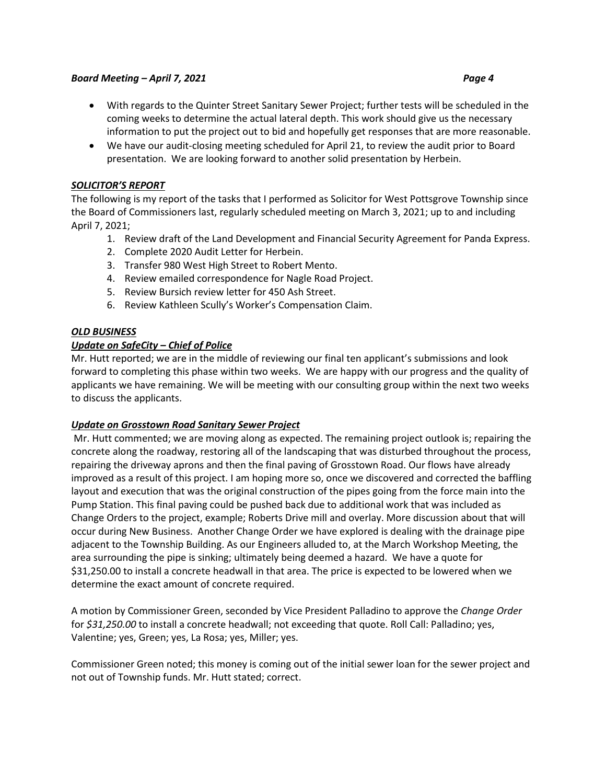## *Board Meeting – April 7, 2021* Page 4 *Page 4*

- With regards to the Quinter Street Sanitary Sewer Project; further tests will be scheduled in the coming weeks to determine the actual lateral depth. This work should give us the necessary information to put the project out to bid and hopefully get responses that are more reasonable.
- We have our audit-closing meeting scheduled for April 21, to review the audit prior to Board presentation. We are looking forward to another solid presentation by Herbein.

## *SOLICITOR'S REPORT*

The following is my report of the tasks that I performed as Solicitor for West Pottsgrove Township since the Board of Commissioners last, regularly scheduled meeting on March 3, 2021; up to and including April 7, 2021;

- 1. Review draft of the Land Development and Financial Security Agreement for Panda Express.
- 2. Complete 2020 Audit Letter for Herbein.
- 3. Transfer 980 West High Street to Robert Mento.
- 4. Review emailed correspondence for Nagle Road Project.
- 5. Review Bursich review letter for 450 Ash Street.
- 6. Review Kathleen Scully's Worker's Compensation Claim.

## *OLD BUSINESS*

# *Update on SafeCity – Chief of Police*

Mr. Hutt reported; we are in the middle of reviewing our final ten applicant's submissions and look forward to completing this phase within two weeks. We are happy with our progress and the quality of applicants we have remaining. We will be meeting with our consulting group within the next two weeks to discuss the applicants.

## *Update on Grosstown Road Sanitary Sewer Project*

Mr. Hutt commented; we are moving along as expected. The remaining project outlook is; repairing the concrete along the roadway, restoring all of the landscaping that was disturbed throughout the process, repairing the driveway aprons and then the final paving of Grosstown Road. Our flows have already improved as a result of this project. I am hoping more so, once we discovered and corrected the baffling layout and execution that was the original construction of the pipes going from the force main into the Pump Station. This final paving could be pushed back due to additional work that was included as Change Orders to the project, example; Roberts Drive mill and overlay. More discussion about that will occur during New Business. Another Change Order we have explored is dealing with the drainage pipe adjacent to the Township Building. As our Engineers alluded to, at the March Workshop Meeting, the area surrounding the pipe is sinking; ultimately being deemed a hazard. We have a quote for \$31,250.00 to install a concrete headwall in that area. The price is expected to be lowered when we determine the exact amount of concrete required.

A motion by Commissioner Green, seconded by Vice President Palladino to approve the *Change Order* for *\$31,250.00* to install a concrete headwall; not exceeding that quote. Roll Call: Palladino; yes, Valentine; yes, Green; yes, La Rosa; yes, Miller; yes.

Commissioner Green noted; this money is coming out of the initial sewer loan for the sewer project and not out of Township funds. Mr. Hutt stated; correct.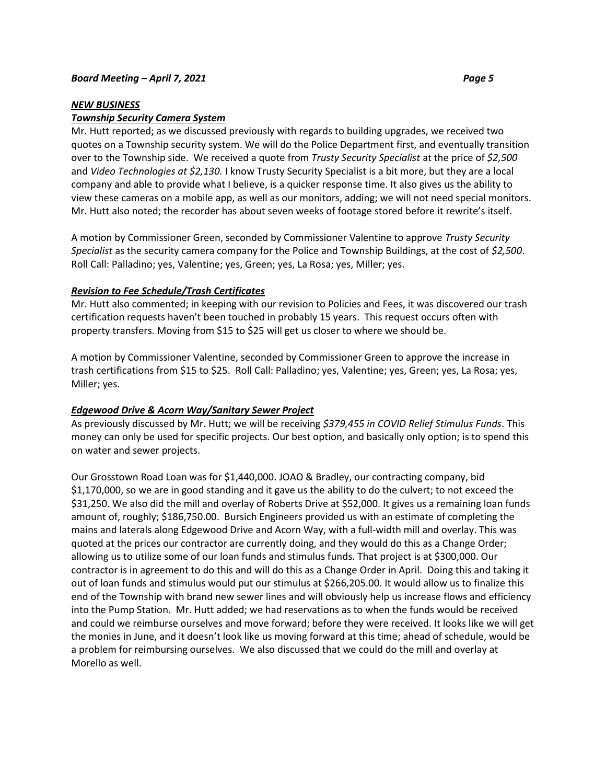#### *NEW BUSINESS*

#### *Township Security Camera System*

Mr. Hutt reported; as we discussed previously with regards to building upgrades, we received two quotes on a Township security system. We will do the Police Department first, and eventually transition over to the Township side. We received a quote from *Trusty Security Specialist* at the price of *\$2,500*  and *Video Technologies at \$2,130.* I know Trusty Security Specialist is a bit more, but they are a local company and able to provide what I believe, is a quicker response time. It also gives us the ability to view these cameras on a mobile app, as well as our monitors, adding; we will not need special monitors. Mr. Hutt also noted; the recorder has about seven weeks of footage stored before it rewrite's itself.

A motion by Commissioner Green, seconded by Commissioner Valentine to approve *Trusty Security Specialist* as the security camera company for the Police and Township Buildings, at the cost of *\$2,500*. Roll Call: Palladino; yes, Valentine; yes, Green; yes, La Rosa; yes, Miller; yes.

#### *Revision to Fee Schedule/Trash Certificates*

Mr. Hutt also commented; in keeping with our revision to Policies and Fees, it was discovered our trash certification requests haven't been touched in probably 15 years. This request occurs often with property transfers. Moving from \$15 to \$25 will get us closer to where we should be.

A motion by Commissioner Valentine, seconded by Commissioner Green to approve the increase in trash certifications from \$15 to \$25. Roll Call: Palladino; yes, Valentine; yes, Green; yes, La Rosa; yes, Miller; yes.

#### *Edgewood Drive & Acorn Way/Sanitary Sewer Project*

As previously discussed by Mr. Hutt; we will be receiving *\$379,455 in COVID Relief Stimulus Funds*. This money can only be used for specific projects. Our best option, and basically only option; is to spend this on water and sewer projects.

Our Grosstown Road Loan was for \$1,440,000. JOAO & Bradley, our contracting company, bid \$1,170,000, so we are in good standing and it gave us the ability to do the culvert; to not exceed the \$31,250. We also did the mill and overlay of Roberts Drive at \$52,000. It gives us a remaining loan funds amount of, roughly; \$186,750.00. Bursich Engineers provided us with an estimate of completing the mains and laterals along Edgewood Drive and Acorn Way, with a full-width mill and overlay. This was quoted at the prices our contractor are currently doing, and they would do this as a Change Order; allowing us to utilize some of our loan funds and stimulus funds. That project is at \$300,000. Our contractor is in agreement to do this and will do this as a Change Order in April. Doing this and taking it out of loan funds and stimulus would put our stimulus at \$266,205.00. It would allow us to finalize this end of the Township with brand new sewer lines and will obviously help us increase flows and efficiency into the Pump Station. Mr. Hutt added; we had reservations as to when the funds would be received and could we reimburse ourselves and move forward; before they were received. It looks like we will get the monies in June, and it doesn't look like us moving forward at this time; ahead of schedule, would be a problem for reimbursing ourselves. We also discussed that we could do the mill and overlay at Morello as well.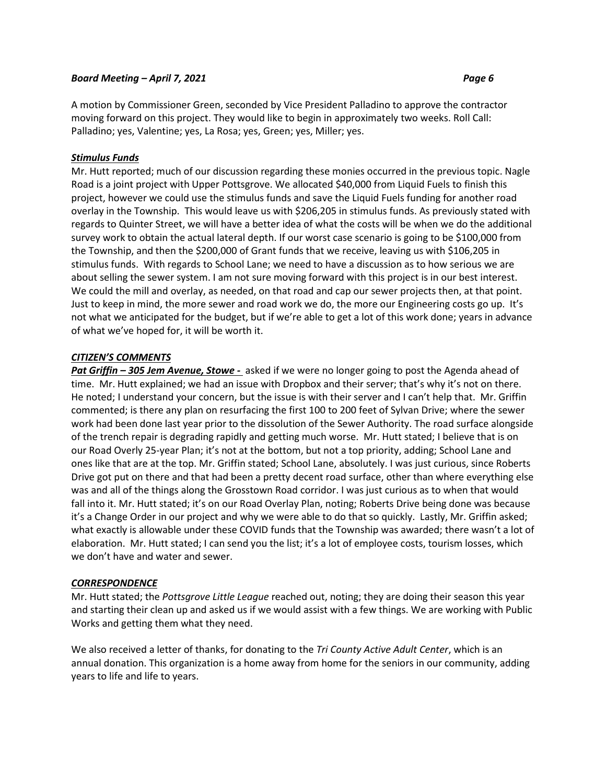#### *Board Meeting – April 7, 2021 Page 6*

A motion by Commissioner Green, seconded by Vice President Palladino to approve the contractor moving forward on this project. They would like to begin in approximately two weeks. Roll Call: Palladino; yes, Valentine; yes, La Rosa; yes, Green; yes, Miller; yes.

# *Stimulus Funds*

Mr. Hutt reported; much of our discussion regarding these monies occurred in the previous topic. Nagle Road is a joint project with Upper Pottsgrove. We allocated \$40,000 from Liquid Fuels to finish this project, however we could use the stimulus funds and save the Liquid Fuels funding for another road overlay in the Township. This would leave us with \$206,205 in stimulus funds. As previously stated with regards to Quinter Street, we will have a better idea of what the costs will be when we do the additional survey work to obtain the actual lateral depth. If our worst case scenario is going to be \$100,000 from the Township, and then the \$200,000 of Grant funds that we receive, leaving us with \$106,205 in stimulus funds. With regards to School Lane; we need to have a discussion as to how serious we are about selling the sewer system. I am not sure moving forward with this project is in our best interest. We could the mill and overlay, as needed, on that road and cap our sewer projects then, at that point. Just to keep in mind, the more sewer and road work we do, the more our Engineering costs go up. It's not what we anticipated for the budget, but if we're able to get a lot of this work done; years in advance of what we've hoped for, it will be worth it.

# *CITIZEN'S COMMENTS*

*Pat Griffin – 305 Jem Avenue, Stowe -* asked if we were no longer going to post the Agenda ahead of time. Mr. Hutt explained; we had an issue with Dropbox and their server; that's why it's not on there. He noted; I understand your concern, but the issue is with their server and I can't help that. Mr. Griffin commented; is there any plan on resurfacing the first 100 to 200 feet of Sylvan Drive; where the sewer work had been done last year prior to the dissolution of the Sewer Authority. The road surface alongside of the trench repair is degrading rapidly and getting much worse. Mr. Hutt stated; I believe that is on our Road Overly 25-year Plan; it's not at the bottom, but not a top priority, adding; School Lane and ones like that are at the top. Mr. Griffin stated; School Lane, absolutely. I was just curious, since Roberts Drive got put on there and that had been a pretty decent road surface, other than where everything else was and all of the things along the Grosstown Road corridor. I was just curious as to when that would fall into it. Mr. Hutt stated; it's on our Road Overlay Plan, noting; Roberts Drive being done was because it's a Change Order in our project and why we were able to do that so quickly. Lastly, Mr. Griffin asked; what exactly is allowable under these COVID funds that the Township was awarded; there wasn't a lot of elaboration. Mr. Hutt stated; I can send you the list; it's a lot of employee costs, tourism losses, which we don't have and water and sewer.

## *CORRESPONDENCE*

Mr. Hutt stated; the *Pottsgrove Little League* reached out, noting; they are doing their season this year and starting their clean up and asked us if we would assist with a few things. We are working with Public Works and getting them what they need.

We also received a letter of thanks, for donating to the *Tri County Active Adult Center*, which is an annual donation. This organization is a home away from home for the seniors in our community, adding years to life and life to years.